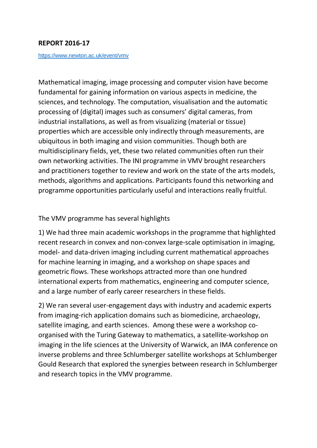## **REPORT 2016-17**

## <https://www.newton.ac.uk/event/vmv>

Mathematical imaging, image processing and computer vision have become fundamental for gaining information on various aspects in medicine, the sciences, and technology. The computation, visualisation and the automatic processing of (digital) images such as consumers' digital cameras, from industrial installations, as well as from visualizing (material or tissue) properties which are accessible only indirectly through measurements, are ubiquitous in both imaging and vision communities. Though both are multidisciplinary fields, yet, these two related communities often run their own networking activities. The INI programme in VMV brought researchers and practitioners together to review and work on the state of the arts models, methods, algorithms and applications. Participants found this networking and programme opportunities particularly useful and interactions really fruitful.

## The VMV programme has several highlights

1) We had three main academic workshops in the programme that highlighted recent research in convex and non-convex large-scale optimisation in imaging, model- and data-driven imaging including current mathematical approaches for machine learning in imaging, and a workshop on shape spaces and geometric flows. These workshops attracted more than one hundred international experts from mathematics, engineering and computer science, and a large number of early career researchers in these fields.

2) We ran several user-engagement days with industry and academic experts from imaging-rich application domains such as biomedicine, archaeology, satellite imaging, and earth sciences. Among these were a workshop coorganised with the Turing Gateway to mathematics, a satellite-workshop on imaging in the life sciences at the University of Warwick, an IMA conference on inverse problems and three Schlumberger satellite workshops at Schlumberger Gould Research that explored the synergies between research in Schlumberger and research topics in the VMV programme.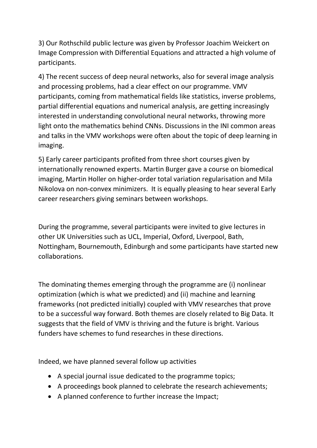3) Our Rothschild public lecture was given by Professor Joachim Weickert on Image Compression with Differential Equations and attracted a high volume of participants.

4) The recent success of deep neural networks, also for several image analysis and processing problems, had a clear effect on our programme. VMV participants, coming from mathematical fields like statistics, inverse problems, partial differential equations and numerical analysis, are getting increasingly interested in understanding convolutional neural networks, throwing more light onto the mathematics behind CNNs. Discussions in the INI common areas and talks in the VMV workshops were often about the topic of deep learning in imaging.

5) Early career participants profited from three short courses given by internationally renowned experts. Martin Burger gave a course on biomedical imaging, Martin Holler on higher-order total variation regularisation and Mila Nikolova on non-convex minimizers. It is equally pleasing to hear several Early career researchers giving seminars between workshops.

During the programme, several participants were invited to give lectures in other UK Universities such as UCL, Imperial, Oxford, Liverpool, Bath, Nottingham, Bournemouth, Edinburgh and some participants have started new collaborations.

The dominating themes emerging through the programme are (i) nonlinear optimization (which is what we predicted) and (ii) machine and learning frameworks (not predicted initially) coupled with VMV researches that prove to be a successful way forward. Both themes are closely related to Big Data. It suggests that the field of VMV is thriving and the future is bright. Various funders have schemes to fund researches in these directions.

Indeed, we have planned several follow up activities

- A special journal issue dedicated to the programme topics;
- A proceedings book planned to celebrate the research achievements;
- A planned conference to further increase the Impact;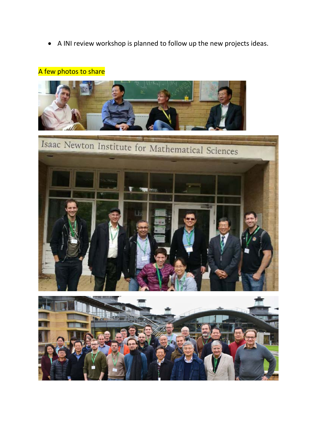• A INI review workshop is planned to follow up the new projects ideas.

## A few photos to share





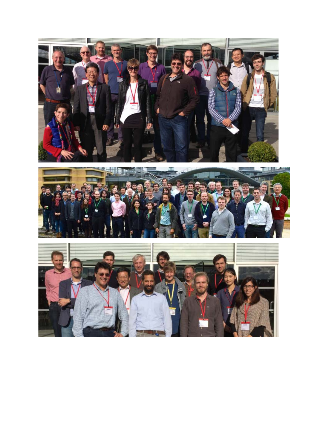



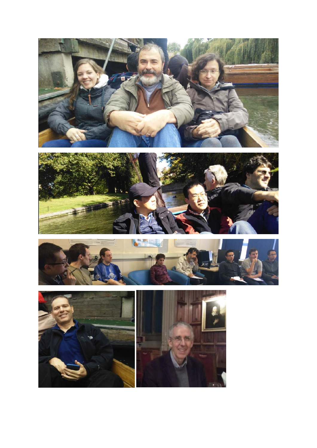





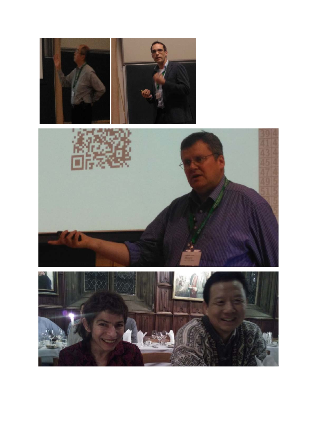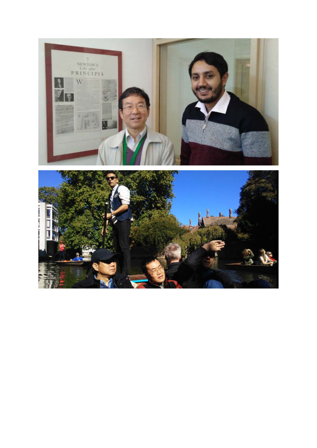